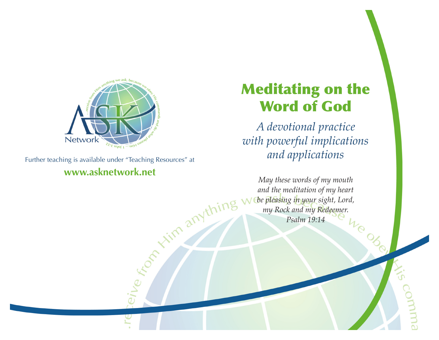

Further teaching is available under "Teaching Resources" at **www.asknetwork.net**

# Meditating on the Word of God

*A devotional practice with powerful implications and applications*

*May these words of my mouth and the meditation of my heart be pleasing in your sight, Lord, my Rock and my Redeemer. Psalm 19:14*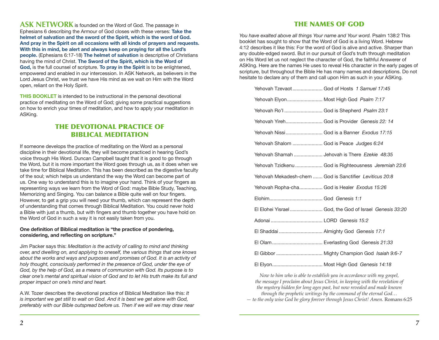**ASK NETWORK** is founded on the Word of God. The passage in Ephesians 6 describing the Armour of God closes with these verses: **Take the helmet of salvation and the sword of the Spirit, which is the word of God. And pray in the Spirit on all occasions with all kinds of prayers and requests. With this in mind, be alert and always keep on praying for all the Lord's people.** (Ephesians 6:17-18) **The helmet of salvation** is descriptive of Christians having the mind of Christ. **The Sword of the Spirit, which is the Word of God,** is the full counsel of scripture. **To pray in the Spirit** is to be enlightened, empowered and enabled in our intercession. In ASK Network, as believers in the Lord Jesus Christ, we trust we have His mind as we wait on Him with the Word open, reliant on the Holy Spirit.

**THIS BOOKLET** is intended to be instructional in the personal devotional practice of meditating on the Word of God; giving some practical suggestions on how to enrich your times of meditation, and how to apply your meditation in ASKing.

#### THE DEVOTIONAL PRACTICE OF BIBLICAL MEDITATION

If someone develops the practice of meditating on the Word as a personal discipline in their devotional life, they will become practiced in hearing God's voice through His Word. Duncan Campbell taught that it is good to go through the Word, but it is more important the Word goes through us, as it does when we take time for Biblical Meditation. This has been described as the digestive faculty of the soul; which helps us understand the way the Word can become part of us. One way to understand this is to imagine your hand. Think of your fingers as representing ways we learn from the Word of God: maybe Bible Study, Teaching, Memorizing and Singing. You can balance a Bible quite well on four fingers. However, to get a grip you will need your thumb, which can represent the depth of understanding that comes through Biblical Meditation. You could never hold a Bible with just a thumb, but with fingers and thumb together you have hold on the Word of God in such a way it is not easily taken from you.

#### **One definition of Biblical meditation is "the practice of pondering, considering, and reflecting on scripture."**

Jim Packer says this: *Meditation is the activity of calling to mind and thinking over, and dwelling on, and applying to oneself, the various things that one knows about the works and ways and purposes and promises of God. It is an activity of holy thought, consciously performed in the presence of God, under the eye of God, by the help of God, as a means of communion with God. Its purpose is to clear one's mental and spiritual vision of God and to let His truth make its full and proper impact on one's mind and heart.* 

A.W. Tozer describes the devotional practice of Biblical Meditation like this: *It is important we get still to wait on God. And it is best we get alone with God, preferably with our Bible outspread before us. Then if we will we may draw near* 

#### THE NAMES OF GOD

*You have exalted above all things Your name and Your word.* Psalm 138:2 This booklet has sought to show that the Word of God is a living Word. Hebrew 4:12 describes it like this: For the word of God is alive and active. Sharper than any double-edged sword. But in our pursuit of God's truth through meditation on His Word let us not neglect the character of God, the faithful Answerer of ASKIng. Here are the names He uses to reveal His character in the early pages of scripture, but throughout the Bible He has many names and descriptions. Do not hesitate to declare any of them and call upon Him as such in your ASKing.

| Yehovah Tzevaot  God of Hosts 1 Samuel 17:45            |                                                        |
|---------------------------------------------------------|--------------------------------------------------------|
| Yehovah Elyon Most High God Psalm 7:17                  |                                                        |
| Yehovah Ro'l  God is Shepherd Psalm 23:1                |                                                        |
| Yehovah Yireh God is Provider Genesis 22: 14            |                                                        |
| Yehovah Nissi God is a Banner Exodus 17:15              |                                                        |
| Yehovah Shalom  God is Peace Judges 6:24                |                                                        |
| Yehovah Shamah  Jehovah is There Ezekie 48:35           |                                                        |
|                                                         | Yehovah Tzidkenu  God is Righteousness Jeremiah 23:6   |
| Yehovah Mekadesh-chem  God is Sanctifier Leviticus 20:8 |                                                        |
| Yehovah Ropha-cha God is Healer Exodus 15:26            |                                                        |
|                                                         |                                                        |
|                                                         | El Elohei Yisrael God, the God of Israel Genesis 33:20 |
|                                                         |                                                        |
|                                                         |                                                        |
|                                                         |                                                        |
|                                                         |                                                        |
|                                                         |                                                        |

*Now to him who is able to establish you in accordance with my gospel, the message I proclaim about Jesus Christ, in keeping with the revelation of the mystery hidden for long ages past, but now revealed and made known through the prophetic writings by the command of the eternal God…*

*— to the only wise God be glory forever through Jesus Christ! Amen.* Romans 6:25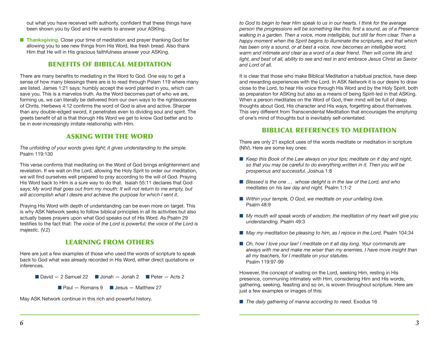out what you have received with authority, confident that these things have been shown you by God and He wants to answer your ASKIng.

**n Thanksgiving.** Close your time of meditation and prayer thanking God for allowing you to see new things from His Word, like fresh bread. Also thank Him that He will in His gracious faithfulness answer your ASKing.

### BENEFITS OF BIBILCAL MEDITATION

There are many benefits to mediating in the Word fo God. One way to get a sense of how many blessings there are is to read through Pslam 119 where many are listed. James 1:21 says: humbly accept the word planted in you, which can save you. This is a marvelos truth. As the Word becomes part of who we are, forming us, we can literally be delivered from our own ways to the righteousness of Chrits. Herbews 4:12 confirms the word of God is alive and active. Sharper than any double-edged sword, it penetrates even to dividing soul and spirit. The greets benefit of all is that thorugh HIs Word we get to know God better and to be in ever-increasingly imitate relationship with HIm.

## ASKING WITH THE WORD

*The unfolding of your words gives light; it gives understanding to the simple.* Psalm 119:130

This verse confirms that meditating on the Word of God brings enlightenment and revelation. If we wait on the Lord, allowing the Holy Sprit to order our meditation, we will find ourselves well prepared to pray according to the will of God. Praying His Word back to Him is a sure way to do that. Isaiah 55:11 declares that God says; *My word that goes out from my mouth: It will not return to me empty, but will accomplish what I desire and achieve the purpose for which I sent it.*

Praying His Word with depth of understanding can be even more on target. This is why ASK Network seeks to follow biblical principles in all its activities but also actually bases prayers upon what God speaks out of His Word. As Psalm 29 testifies to the fact that: *The voice of the Lord is powerful; the voice of the Lord is majestic.* (V.2)

# LEARNING FROM OTHERS

Here are just a few examples of those who used the words of scripture to speak back to God what was already recorded in His Word, either direct quotations or inferences.

**n** David  $-$  2 Samuel 22 **n** Jonah  $-$  Jonah 2 **n** Peter  $-$  Acts 2

 $\blacksquare$  Paul — Romans 9  $\blacksquare$  Jesus — Matthew 27

May ASK Network continue in this rich and powerful history.

*to God to begin to hear Him speak to us in our hearts. I think for the average person the progressions will be something like this: first a sound, as of a Presence walking in a garden. Then a voice, more intelligible, but still far from clear. Then a happy moment when the Spirit begins to illuminate the scriptures, and that which has been only a sound, or at best a voice, now becomes an intelligible word, warm and intimate and clear as a word of a dear friend. Then will come life and light, and best of all, ability to see and rest in and embrace Jesus Christ as Savior and Lord of all.*

It is clear that those who make Biblical Meditation a habitual practice, have deep and rewarding experiences with the Lord. In ASK Network it is our desire to draw close to the Lord, to hear His voice through His Word and by the Holy Spirit, both as preparation for ASKing but also as a means of being Spirit-led in that ASKing. When a person meditates on the Word of God, their mind will be full of deep thoughts about God, His character and His ways, forgetting about themselves. This very different from Transcendental Meditation that encourages the emptying of one's mind of thoughts but is inevitably self-orientated.

## BIBLICAL REFERENCES TO MEDITATION

There are only 21 explicit uses of the words meditate or meditation in scripture (NIV). Here are some key ones:

- Keep this Book of the Law always on your lips; meditate on it day and night, *so that you may be careful to do everything written in it. Then you will be prosperous and successful.* Joshua 1:8
- *Blessed is the one ...* whose delight is in the law of the Lord, and who *meditates on his law day and night.* Psalm 1:1-2
- *Within your temple, O God, we meditate on your unfailing love.* Psalm 48:9
- *My mouth will speak words of wisdom; the meditation of my heart will give you understanding.* Psalm 49:3
- May my meditation be pleasing to him, as I rejoice in the Lord. Psalm 104:34
- Oh, how I love your law! I meditate on it all day long. Your commands are *always with me and make me wiser than my enemies. I have more insight than all my teachers, for I meditate on your statutes.*  Psalm 119:97-99

However, the concept of waiting on the Lord, seeking Him, resting in His presence, communing intimately with Him, considering Him and His words, gathering, seeking, feasting and so on, is woven throughout scripture. Here are just a few examples or images of this:

■ *The daily gathering of manna according to need.* Exodus 16